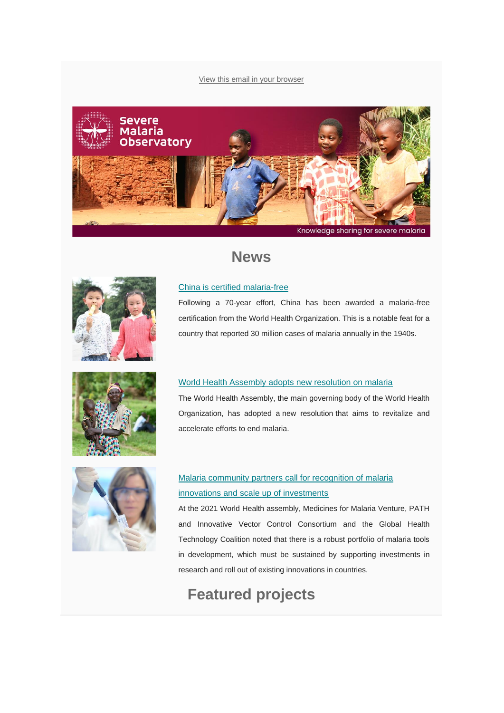#### [View this email in your browser](https://mailchi.mp/92f6bf098fc0/severe-malaria-observatory-december-2020-newsletter-1621890?e=%5bUNIQID%5d)





## **News**

### [China is certified malaria-free](https://www.severemalaria.org/news/from-30-million-cases-to-zero-china-is-certified-malaria-free-by-who)

Following a 70-year effort, China has been awarded a malaria-free certification from the World Health Organization. This is a notable feat for a country that reported 30 million cases of malaria annually in the 1940s.



#### [World Health Assembly adopts new resolution on malaria](https://www.severemalaria.org/news/world-health-assembly-adopts-new-resolution-on-malaria)

The World Health Assembly, the main governing body of the World Health Organization, has adopted a new resolution that aims to revitalize and accelerate efforts to end malaria.



### [Malaria community partners call for recognition of malaria](https://www.severemalaria.org/news/malaria-community-partners-recognize-malaria-innovations-and-urge-who-member-states-to-scale-up)  [innovations and scale up of investments](https://www.severemalaria.org/news/malaria-community-partners-recognize-malaria-innovations-and-urge-who-member-states-to-scale-up)

At the 2021 World Health assembly, Medicines for Malaria Venture, PATH and Innovative Vector Control Consortium and the Global Health Technology Coalition noted that there is a robust portfolio of malaria tools in development, which must be sustained by supporting investments in research and roll out of existing innovations in countries.

## **Featured projects**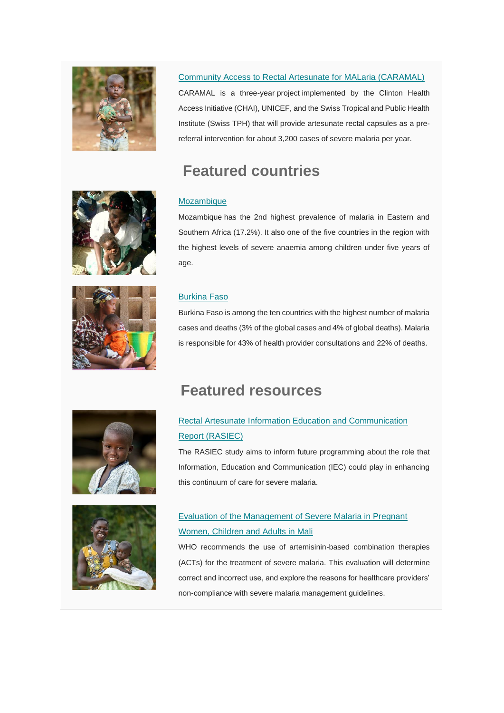

### [Community Access to Rectal Artesunate for MALaria \(CARAMAL\)](https://www.severemalaria.org/in-the-field/projects/community-access-to-artesunate-rectal-capsules-for-malaria-caramal)

CARAMAL is a three-year project implemented by the Clinton Health Access Initiative (CHAI), UNICEF, and the Swiss Tropical and Public Health Institute (Swiss TPH) that will provide artesunate rectal capsules as a prereferral intervention for about 3,200 cases of severe malaria per year.

# **Featured countries**

**Featured resources**

### [Mozambique](https://www.severemalaria.org/countries/mozambique)

Mozambique has the 2nd highest prevalence of malaria in Eastern and Southern Africa (17.2%). It also one of the five countries in the region with the highest levels of severe anaemia among children under five years of age.



### [Burkina Faso](https://www.severemalaria.org/countries/burkina-faso)

Burkina Faso is among the ten countries with the highest number of malaria cases and deaths (3% of the global cases and 4% of global deaths). Malaria is responsible for 43% of health provider consultations and 22% of deaths.





## [Rectal Artesunate Information Education and Communication](https://www.severemalaria.org/rectal-artesunate-information-education-and-communication-report-rasiec)  [Report \(RASIEC\)](https://www.severemalaria.org/rectal-artesunate-information-education-and-communication-report-rasiec)

The RASIEC study aims to inform future programming about the role that Information, Education and Communication (IEC) could play in enhancing this continuum of care for severe malaria.

### [Evaluation of the Management of Severe Malaria in Pregnant](https://www.severemalaria.org/resources/evaluation-of-the-management-of-severe-malaria-in-pregnant-women-children-and-adults-in)  [Women, Children and Adults in Mali](https://www.severemalaria.org/resources/evaluation-of-the-management-of-severe-malaria-in-pregnant-women-children-and-adults-in)

WHO recommends the use of artemisinin-based combination therapies (ACTs) for the treatment of severe malaria. This evaluation will determine correct and incorrect use, and explore the reasons for healthcare providers' non-compliance with severe malaria management guidelines.